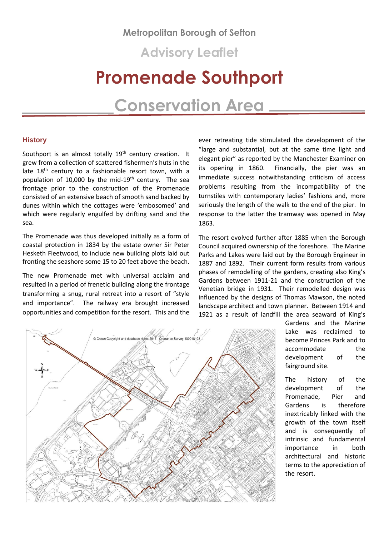# **Metropolitan Borough of Sefton**

**Advisory Leaflet**

# **Promenade Southport**

# **Conservation Area**

# **History**

Southport is an almost totally 19<sup>th</sup> century creation. It grew from a collection of scattered fishermen's huts in the late 18<sup>th</sup> century to a fashionable resort town, with a population of 10,000 by the mid-19<sup>th</sup> century. The sea frontage prior to the construction of the Promenade consisted of an extensive beach of smooth sand backed by dunes within which the cottages were 'embosomed' and which were regularly engulfed by drifting sand and the sea.

The Promenade was thus developed initially as a form of coastal protection in 1834 by the estate owner Sir Peter Hesketh Fleetwood, to include new building plots laid out fronting the seashore some 15 to 20 feet above the beach.

The new Promenade met with universal acclaim and resulted in a period of frenetic building along the frontage transforming a snug, rural retreat into a resort of "style and importance". The railway era brought increased opportunities and competition for the resort. This and the

ever retreating tide stimulated the development of the "large and substantial, but at the same time light and elegant pier" as reported by the Manchester Examiner on its opening in 1860. Financially, the pier was an immediate success notwithstanding criticism of access problems resulting from the incompatibility of the turnstiles with contemporary ladies' fashions and, more seriously the length of the walk to the end of the pier. In response to the latter the tramway was opened in May 1863.

The resort evolved further after 1885 when the Borough Council acquired ownership of the foreshore. The Marine Parks and Lakes were laid out by the Borough Engineer in 1887 and 1892. Their current form results from various phases of remodelling of the gardens, creating also King's Gardens between 1911-21 and the construction of the Venetian bridge in 1931. Their remodelled design was influenced by the designs of Thomas Mawson, the noted landscape architect and town planner. Between 1914 and 1921 as a result of landfill the area seaward of King's



Gardens and the Marine Lake was reclaimed to become Princes Park and to accommodate the development of the fairground site.

The history of the development of the Promenade, Pier and Gardens is therefore inextricably linked with the growth of the town itself and is consequently of intrinsic and fundamental importance in both architectural and historic terms to the appreciation of the resort.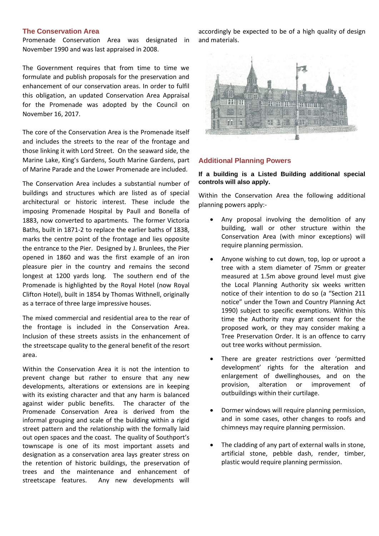# **The Conservation Area**

Promenade Conservation Area was designated in November 1990 and was last appraised in 2008.

The Government requires that from time to time we formulate and publish proposals for the preservation and enhancement of our conservation areas. In order to fulfil this obligation, an updated Conservation Area Appraisal for the Promenade was adopted by the Council on November 16, 2017.

The core of the Conservation Area is the Promenade itself and includes the streets to the rear of the frontage and those linking it with Lord Street. On the seaward side, the Marine Lake, King's Gardens, South Marine Gardens, part of Marine Parade and the Lower Promenade are included.

The Conservation Area includes a substantial number of buildings and structures which are listed as of special architectural or historic interest. These include the imposing Promenade Hospital by Paull and Bonella of 1883, now converted to apartments. The former Victoria Baths, built in 1871-2 to replace the earlier baths of 1838, marks the centre point of the frontage and lies opposite the entrance to the Pier. Designed by J. Brunlees, the Pier opened in 1860 and was the first example of an iron pleasure pier in the country and remains the second longest at 1200 yards long. The southern end of the Promenade is highlighted by the Royal Hotel (now Royal Clifton Hotel), built in 1854 by Thomas Withnell, originally as a terrace of three large impressive houses.

The mixed commercial and residential area to the rear of the frontage is included in the Conservation Area. Inclusion of these streets assists in the enhancement of the streetscape quality to the general benefit of the resort area.

Within the Conservation Area it is not the intention to prevent change but rather to ensure that any new developments, alterations or extensions are in keeping with its existing character and that any harm is balanced against wider public benefits. The character of the Promenade Conservation Area is derived from the informal grouping and scale of the building within a rigid street pattern and the relationship with the formally laid out open spaces and the coast. The quality of Southport's townscape is one of its most important assets and designation as a conservation area lays greater stress on the retention of historic buildings, the preservation of trees and the maintenance and enhancement of streetscape features. Any new developments will

accordingly be expected to be of a high quality of design and materials.



# **Additional Planning Powers**

# **If a building is a Listed Building additional special controls will also apply.**

Within the Conservation Area the following additional planning powers apply:-

- Any proposal involving the demolition of any building, wall or other structure within the Conservation Area (with minor exceptions) will require planning permission.
- Anyone wishing to cut down, top, lop or uproot a tree with a stem diameter of 75mm or greater measured at 1.5m above ground level must give the Local Planning Authority six weeks written notice of their intention to do so (a "Section 211 notice" under the Town and Country Planning Act 1990) subject to specific exemptions. Within this time the Authority may grant consent for the proposed work, or they may consider making a Tree Preservation Order. It is an offence to carry out tree works without permission.
- There are greater restrictions over 'permitted development' rights for the alteration and enlargement of dwellinghouses, and on the provision, alteration or improvement of outbuildings within their curtilage.
- Dormer windows will require planning permission, and in some cases, other changes to roofs and chimneys may require planning permission.
- The cladding of any part of external walls in stone, artificial stone, pebble dash, render, timber, plastic would require planning permission.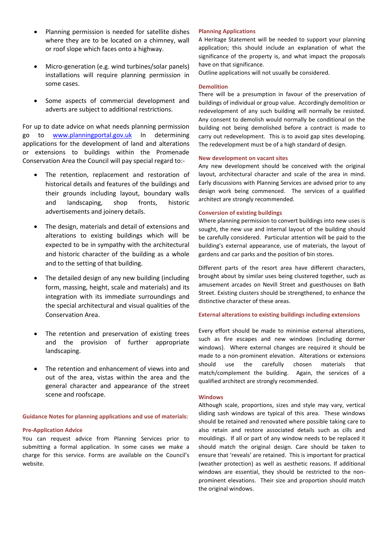- Planning permission is needed for satellite dishes where they are to be located on a chimney, wall or roof slope which faces onto a highway.
- Micro-generation (e.g. wind turbines/solar panels) installations will require planning permission in some cases.
- Some aspects of commercial development and adverts are subject to additional restrictions.

For up to date advice on what needs planning permission go to [www.planningportal.gov.uk](http://www.planningportal.gov.uk/) In determining applications for the development of land and alterations or extensions to buildings within the Promenade Conservation Area the Council will pay special regard to:-

- The retention, replacement and restoration of historical details and features of the buildings and their grounds including layout, boundary walls and landscaping, shop fronts, historic advertisements and joinery details.
- The design, materials and detail of extensions and alterations to existing buildings which will be expected to be in sympathy with the architectural and historic character of the building as a whole and to the setting of that building.
- The detailed design of any new building (including form, massing, height, scale and materials) and its integration with its immediate surroundings and the special architectural and visual qualities of the Conservation Area.
- The retention and preservation of existing trees and the provision of further appropriate landscaping.
- The retention and enhancement of views into and out of the area, vistas within the area and the general character and appearance of the street scene and roofscape.

## **Guidance Notes for planning applications and use of materials:**

#### **Pre-Application Advice**

You can request advice from Planning Services prior to submitting a formal application. In some cases we make a charge for this service. Forms are available on the Council's website.

### **Planning Applications**

A Heritage Statement will be needed to support your planning application; this should include an explanation of what the significance of the property is, and what impact the proposals have on that significance.

Outline applications will not usually be considered.

#### **Demolition**

There will be a presumption in favour of the preservation of buildings of individual or group value. Accordingly demolition or redevelopment of any such building will normally be resisted. Any consent to demolish would normally be conditional on the building not being demolished before a contract is made to carry out redevelopment. This is to avoid gap sites developing. The redevelopment must be of a high standard of design.

#### **New development on vacant sites**

Any new development should be conceived with the original layout, architectural character and scale of the area in mind. Early discussions with Planning Services are advised prior to any design work being commenced. The services of a qualified architect are strongly recommended.

# **Conversion of existing buildings**

Where planning permission to convert buildings into new uses is sought, the new use and internal layout of the building should be carefully considered. Particular attention will be paid to the building's external appearance, use of materials, the layout of gardens and car parks and the position of bin stores.

Different parts of the resort area have different characters, brought about by similar uses being clustered together, such as amusement arcades on Nevill Street and guesthouses on Bath Street. Existing clusters should be strengthened, to enhance the distinctive character of these areas.

### **External alterations to existing buildings including extensions**

Every effort should be made to minimise external alterations, such as fire escapes and new windows (including dormer windows). Where external changes are required it should be made to a non-prominent elevation. Alterations or extensions should use the carefully chosen materials that match/complement the building. Again, the services of a qualified architect are strongly recommended.

#### **Windows**

Although scale, proportions, sizes and style may vary, vertical sliding sash windows are typical of this area. These windows should be retained and renovated where possible taking care to also retain and restore associated details such as cills and mouldings. If all or part of any window needs to be replaced it should match the original design. Care should be taken to ensure that 'reveals' are retained. This is important for practical (weather protection) as well as aesthetic reasons. If additional windows are essential, they should be restricted to the nonprominent elevations. Their size and proportion should match the original windows.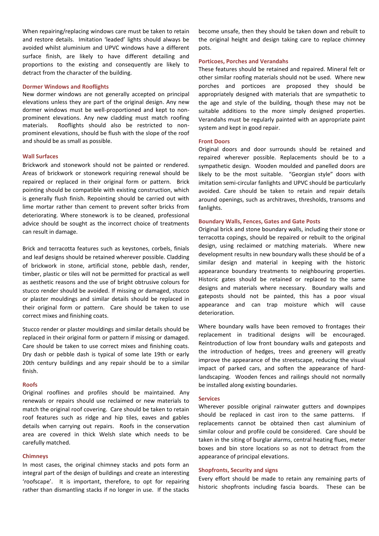When repairing/replacing windows care must be taken to retain and restore details. Imitation 'leaded' lights should always be avoided whilst aluminium and UPVC windows have a different surface finish, are likely to have different detailing and proportions to the existing and consequently are likely to detract from the character of the building.

#### **Dormer Windows and Rooflights**

New dormer windows are not generally accepted on principal elevations unless they are part of the original design. Any new dormer windows must be well-proportioned and kept to nonprominent elevations. Any new cladding must match roofing materials. Rooflights should also be restricted to nonprominent elevations, should be flush with the slope of the roof and should be as small as possible.

#### **Wall Surfaces**

Brickwork and stonework should not be painted or rendered. Areas of brickwork or stonework requiring renewal should be repaired or replaced in their original form or pattern. Brick pointing should be compatible with existing construction, which is generally flush finish. Repointing should be carried out with lime mortar rather than cement to prevent softer bricks from deteriorating. Where stonework is to be cleaned, professional advice should be sought as the incorrect choice of treatments can result in damage.

Brick and terracotta features such as keystones, corbels, finials and leaf designs should be retained wherever possible. Cladding of brickwork in stone, artificial stone, pebble dash, render, timber, plastic or tiles will not be permitted for practical as well as aesthetic reasons and the use of bright obtrusive colours for stucco render should be avoided. If missing or damaged, stucco or plaster mouldings and similar details should be replaced in their original form or pattern. Care should be taken to use correct mixes and finishing coats.

Stucco render or plaster mouldings and similar details should be replaced in their original form or pattern if missing or damaged. Care should be taken to use correct mixes and finishing coats. Dry dash or pebble dash is typical of some late 19th or early 20th century buildings and any repair should be to a similar finish.

#### **Roofs**

Original rooflines and profiles should be maintained. Any renewals or repairs should use reclaimed or new materials to match the original roof covering. Care should be taken to retain roof features such as ridge and hip tiles, eaves and gables details when carrying out repairs. Roofs in the conservation area are covered in thick Welsh slate which needs to be carefully matched.

#### **Chimneys**

In most cases, the original chimney stacks and pots form an integral part of the design of buildings and create an interesting 'roofscape'. It is important, therefore, to opt for repairing rather than dismantling stacks if no longer in use. If the stacks become unsafe, then they should be taken down and rebuilt to the original height and design taking care to replace chimney pots.

#### **Porticoes, Porches and Verandahs**

These features should be retained and repaired. Mineral felt or other similar roofing materials should not be used. Where new porches and porticoes are proposed they should be appropriately designed with materials that are sympathetic to the age and style of the building, though these may not be suitable additions to the more simply designed properties. Verandahs must be regularly painted with an appropriate paint system and kept in good repair.

#### **Front Doors**

Original doors and door surrounds should be retained and repaired wherever possible. Replacements should be to a sympathetic design. Wooden moulded and panelled doors are likely to be the most suitable. "Georgian style" doors with imitation semi-circular fanlights and UPVC should be particularly avoided. Care should be taken to retain and repair details around openings, such as architraves, thresholds, transoms and fanlights.

#### **Boundary Walls, Fences, Gates and Gate Posts**

Original brick and stone boundary walls, including their stone or terracotta copings, should be repaired or rebuilt to the original design, using reclaimed or matching materials. Where new development results in new boundary walls these should be of a similar design and material in keeping with the historic appearance boundary treatments to neighbouring properties. Historic gates should be retained or replaced to the same designs and materials where necessary. Boundary walls and gateposts should not be painted, this has a poor visual appearance and can trap moisture which will cause deterioration.

Where boundary walls have been removed to frontages their replacement in traditional designs will be encouraged. Reintroduction of low front boundary walls and gateposts and the introduction of hedges, trees and greenery will greatly improve the appearance of the streetscape, reducing the visual impact of parked cars, and soften the appearance of hardlandscaping. Wooden fences and railings should not normally be installed along existing boundaries.

#### **Services**

Wherever possible original rainwater gutters and downpipes should be replaced in cast iron to the same patterns. If replacements cannot be obtained then cast aluminium of similar colour and profile could be considered. Care should be taken in the siting of burglar alarms, central heating flues, meter boxes and bin store locations so as not to detract from the appearance of principal elevations.

## **Shopfronts, Security and signs**

Every effort should be made to retain any remaining parts of historic shopfronts including fascia boards. These can be